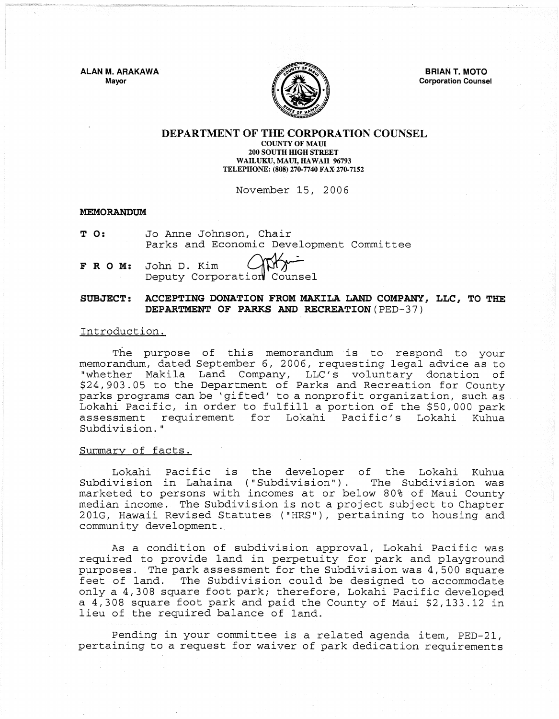ALAN M. ARAKAWA Mayor



BRIAN T. MOTO Corporation Counsel

#### DEPARTMENT OF THE CORPORATION COUNSEL COUNTY OF MAUl 200 SOUTH HIGH STREET WAILUKU, MAUI, HAWAII 96793 TELEPHONE: (808) 270-7740 FAX 270-7152

November 15, 2006

### MEMORANDUM

- T O: Jo Anne Johnson, Chair Parks and Economic Development Committee Johnson, Chair<br>nd Economic Development Co<br>Kim (Corporation Counsel
- FROM: Deputy Corporation John D. Kim

# SUBJECT: ACCEPTING DONATION FROM MAKILA LAND COMPANY, LLC, TO THE DEPARTMENT OF PARKS AND RECREATION (PED-37)

### Introduction.

The purpose of this memorandum is to respond to your memorandum, dated September 6, 2006, requesting legal advice as to "whether Makila Land Company, LLC's voluntary donation \$24,903.05 to the Department of Parks and Recreation for County parks programs can be 'gifted' to a nonprofit organization, such as Lokahi Pacific, in order to fulfill a portion of the \$50,000 park<br>assessment requirement for Lokahi Pacific's Lokahi Kuhua requirement for Lokahi Pacific's Lokahi Subdivision. "

### Summary of facts.

Lokahi Pacific is the developer of the Lokahi Kuhua Subdivision in Lahaina ("Subdivision"). marketed to persons with incomes at or below 80% of Maui County median income. The Subdivision is not a project subject to Chapter 201G, Hawaii Revised Statutes ("HRS"), pertaining to housing and community development.

As a condition of subdivision approval, Lokahi Pacific was required to provide land in perpetuity for park and playground purposes. The park assessment for the Subdivision was 4,500 square feet of land. The Subdivision could be designed to accommodate only a 4,308 square foot park; therefore, Lokahi Pacific developed a 4,308 square foot park and paid the County of Maui \$2,133.12 in lieu of the required balance of land.

Pending in your committee is a related agenda item, PED-21, pertaining to a request for waiver of park dedication requirements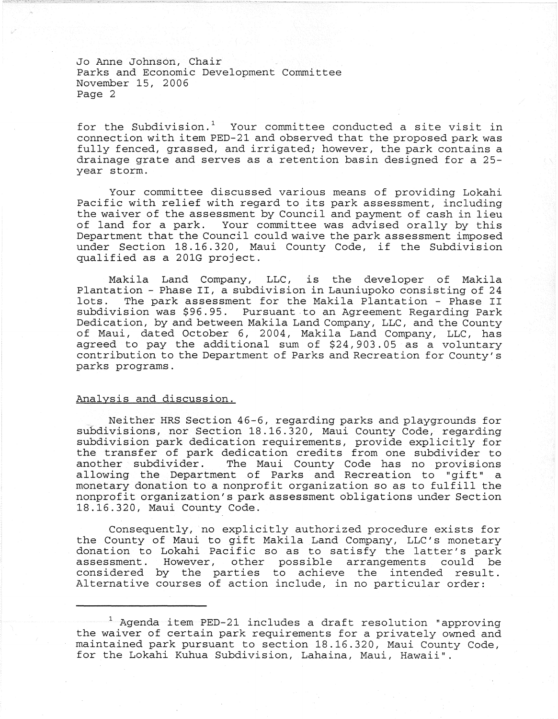Jo Anne Johnson, Chair Parks and Economic Development Committee November 15, 2006 Page 2

for the Subdivision.<sup>1</sup> Your committee conducted a site visit in connection with item PED-21 and observed that the proposed park was fully fenced, grassed, and irrigated; however, the park contains a drainage grate and serves as a retention basin designed for a 25 year storm.

Your committee discussed various means of providing Lokahi Pacific with relief with regard to its park assessment, including the waiver of the assessment by Council and payment of cash in lieu of land for a park. Your committee was advised orally by this Department that the Council could waive the park assessment imposed under Section 18.16.320, Maui County Code, if the Subdivision qualified as a 201G project.

Makila Land Company, LLC, is the developer of Makila Plantation - Phase II, a subdivision in Launiupoko consisting of 24 The park assessment for the Makila Plantation - Phase II subdivision was \$96.95. Pursuant to an Agreement Regarding Park Dedication, by and between Makila Land Company, LLC, and the County of Maui, dated October 6, 2004, Makila Land Company, LLC, has agreed to pay the additional sum of \$24,903.05 as a voluntary contribution to the Department of Parks and Recreation for County's parks programs.

## Analysis and discussion.

Neither HRS Section 46-6, regarding parks and playgrounds for subdivisions, nor Section 18.16.320, Maui County Code, regarding subdivision park dedication requirements, provide explicitly for the transfer of park dedication credits from one subdivider to another subdivider. The Maui County Code has no provisions allowing the Department of Parks and Recreation to "gift" a monetary donation to a nonprofit organization so as to fulfill the nonprofit organization's park assessment obligations under Section 18.16.320, Maui County Code.

Consequently, no explicitly authorized procedure exists for the County of Maui to gift Makila Land Company, LLC's monetary donation to Lokahi Pacific so as to satisfy the latter's park assessment. However, other possible arrangements could be considered by the parties to achieve the intended result. Alternative courses of action include, in no particular order:

 $^1$  Agenda item PED-21 includes a draft resolution "approving the waiver of certain park requirements for a privately owned and maintained park pursuant to section 18.16.320, Maui County Code, for the Lokahi Kuhua Subdivision, Lahaina, Maui, Hawaii".